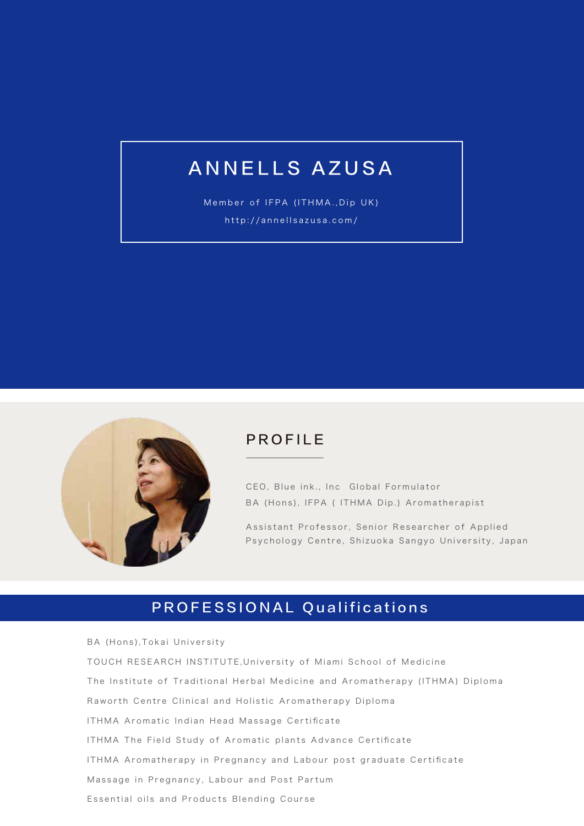# ANNELLS AZUSA

Member of IFPA (ITHMA.,Dip UK) http://annellsazusa.com/



### PROFILE

CEO, Blue ink., Inc Global Formulator BA (Hons), IFPA ( ITHMA Dip.) Aromatherapist

Assistant Professor, Senior Researcher of Applied Psychology Centre, Shizuoka Sangyo University, Japan

## PROFESSIONAL Qualifications

BA (Hons),Tokai University TOUCH RESEARCH INSTITUTE,University of Miami School of Medicine The Institute of Traditional Herbal Medicine and Aromatherapy (ITHMA) Diploma Raworth Centre Clinical and Holistic Aromatherapy Diploma ITHMA Aromatic Indian Head Massage Certificate ITHMA The Field Study of Aromatic plants Advance Certificate ITHMA Aromatherapy in Pregnancy and Labour post graduate Certificate Massage in Pregnancy, Labour and Post Partum Essential oils and Products Blending Course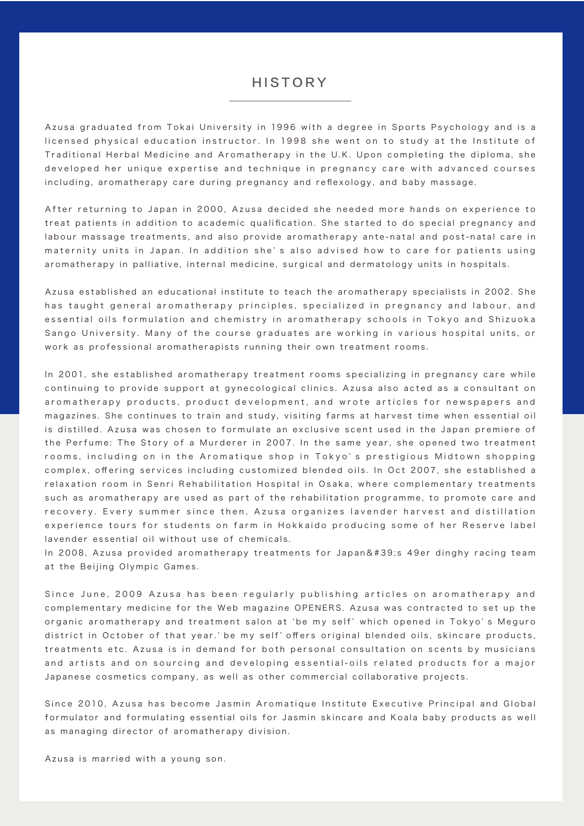#### HISTORY

Azusa graduated from Tokai University in 1996 with a degree in Sports Psychology and is a licensed physical education instructor. In 1998 she went on to study at the Institute of Traditional Herbal Medicine and Aromatherapy in the U.K. Upon completing the diploma, she developed her unique expertise and technique in pregnancy care with advanced courses including, aromatherapy care during pregnancy and reflexology, and baby massage.

After returning to Japan in 2000, Azusa decided she needed more hands on experience to treat patients in addition to academic qualification. She started to do special pregnancy and labour massage treatments, and also provide aromatherapy ante-natal and post-natal care in maternity units in Japan. In addition she' s also advised how to care for patients using aromatherapy in palliative, internal medicine, surgical and dermatology units in hospitals.

Azusa established an educational institute to teach the aromatherapy specialists in 2002. She has taught general aromatherapy principles, specialized in pregnancy and labour, and essential oils formulation and chemistry in aromatherapy schools in Tokyo and Shizuoka Sango University. Many of the course graduates are working in various hospital units, or work as professional aromatherapists running their own treatment rooms.

In 2001, she established aromatherapy treatment rooms specializing in pregnancy care while continuing to provide support at gynecological clinics. Azusa also acted as a consultant on aromatherapy products, product development, and wrote articles for newspapers and magazines. She continues to train and study, visiting farms at harvest time when essential oil is distilled. Azusa was chosen to formulate an exclusive scent used in the Japan premiere of the Perfume: The Story of a Murderer in 2007. In the same year, she opened two treatment rooms, including on in the Aromatique shop in Tokyo' s prestigious Midtown shopping complex, offering services including customized blended oils. In Oct 2007, she established a relaxation room in Senri Rehabilitation Hospital in Osaka, where complementary treatments such as aromatherapy are used as part of the rehabilitation programme, to promote care and recovery. Every summer since then, Azusa organizes lavender harvest and distillation experience tours for students on farm in Hokkaido producing some of her Reserve label lavender essential oil without use of chemicals.

In 2008, Azusa provided aromatherapy treatments for Japan's 49er dinghy racing team at the Beijing Olympic Games.

Since June, 2009 Azusa has been regularly publishing articles on aromatherapy and complementary medicine for the Web magazine OPENERS. Azusa was contracted to set up the organic aromatherapy and treatment salon at ʻbe my self' which opened in Tokyo' s Meguro district in October of that year.' be my self' offers original blended oils, skincare products, treatments etc. Azusa is in demand for both personal consultation on scents by musicians and artists and on sourcing and developing essential-oils related products for a major Japanese cosmetics company, as well as other commercial collaborative projects.

Since 2010, Azusa has become Jasmin Aromatique Institute Executive Principal and Global formulator and formulating essential oils for Jasmin skincare and Koala baby products as well as managing director of aromatherapy division.

Azusa is married with a young son.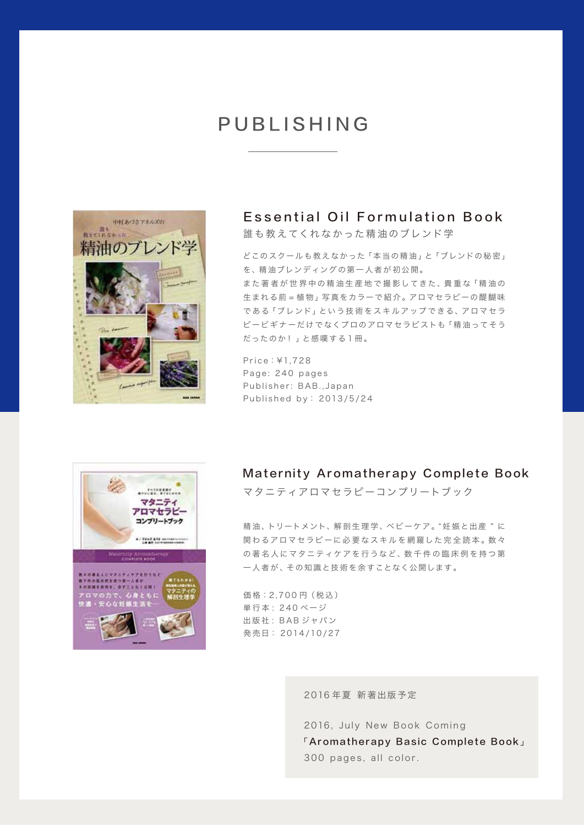## PUBLISHING



#### Essential Oil Formulation Book

誰も教えてくれなかった精油のブレンド学

どこのスクールも教えなかった「本当の精油」と「ブレンドの秘密」 を、精油ブレンディングの第一人者が 初公開。

また著者が世界中の精油生産地で撮影してきた、貴重な「精油の 生まれる前 = 植物」写真をカラーで紹介。アロマセラピーの醍醐味 である「ブレンド」という技術をスキルアップできる、アロマセラ ピービギナーだけでなくプロのアロマセラピストも「精油ってそう だったのか ! 」と感嘆する 1 冊。

Price:¥1,728 Page: 240 pages Publisher: BAB.,Japan Published by: 2013/5/24



#### Maternity Aromatherapy Complete Book

マタニティアロマセラピーコンプリートブック

精油、トリートメント、解剖生理学、ベビーケア。"妊娠と出産"に 関わるアロマセラピーに必要なスキルを網羅した完全読本。数々 の著名人にマタニティケアを行うなど、数千件の臨床例を持つ第 一人者が 、その知識と技 術を余すことなく公開します。

価格: 2,700円 (税込) 単行本 : 240 ページ 出版社 : BAB ジャパン 発 売日: 2 014 /10 / 27

2016 年夏 新著出版予定

2016, July New Book Coming 「Aromatherapy Basic Complete Book」 300 pages, all color.